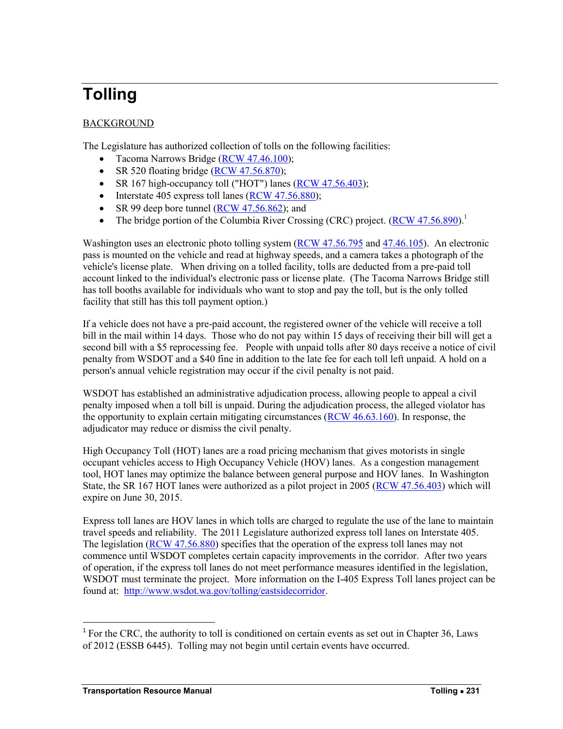# **Tolling**

# BACKGROUND

The Legislature has authorized collection of tolls on the following facilities:

- Tacoma Narrows Bridge [\(RCW 47.46.100\)](http://apps.leg.wa.gov/rcw/default.aspx?cite=47.46.100);
- $\bullet$  SR 520 floating bridge [\(RCW 47.56.870\)](http://apps.leg.wa.gov/rcw/default.aspx?cite=47.56.870);
- SR 167 high-occupancy toll ("HOT") lanes [\(RCW 47.56.403\)](http://apps.leg.wa.gov/rcw/default.aspx?cite=47.56.403);
- $\bullet$  Interstate 405 express toll lanes [\(RCW 47.56.880\)](http://apps.leg.wa.gov/rcw/default.aspx?cite=47.56.880);
- SR 99 deep bore tunnel  $(RCW 47.56.862)$ ; and
- The bridge portion of the Columbia River Crossing (CRC) project.  $(RCW 47.56.890)^1$  $(RCW 47.56.890)^1$

Washington uses an electronic photo tolling system [\(RCW 47.56.795](http://apps.leg.wa.gov/rcw/default.aspx?cite=47.56.795) and [47.46.105\)](http://apps.leg.wa.gov/rcw/default.aspx?cite=47.46.105). An electronic pass is mounted on the vehicle and read at highway speeds, and a camera takes a photograph of the vehicle's license plate. When driving on a tolled facility, tolls are deducted from a pre-paid toll account linked to the individual's electronic pass or license plate. (The Tacoma Narrows Bridge still has toll booths available for individuals who want to stop and pay the toll, but is the only tolled facility that still has this toll payment option.)

If a vehicle does not have a pre-paid account, the registered owner of the vehicle will receive a toll bill in the mail within 14 days. Those who do not pay within 15 days of receiving their bill will get a second bill with a \$5 reprocessing fee. People with unpaid tolls after 80 days receive a notice of civil penalty from WSDOT and a \$40 fine in addition to the late fee for each toll left unpaid. A hold on a person's annual vehicle registration may occur if the civil penalty is not paid.

WSDOT has established an administrative adjudication process, allowing people to appeal a civil penalty imposed when a toll bill is unpaid. During the adjudication process, the alleged violator has the opportunity to explain certain mitigating circumstances [\(RCW 46.63.160\)](http://app.leg.wa.gov/rcw/default.aspx?cite=46.63.160). In response, the adjudicator may reduce or dismiss the civil penalty.

High Occupancy Toll (HOT) lanes are a road pricing mechanism that gives motorists in single occupant vehicles access to High Occupancy Vehicle (HOV) lanes. As a congestion management tool, HOT lanes may optimize the balance between general purpose and HOV lanes. In Washington State, the SR 167 HOT lanes were authorized as a pilot project in 2005 [\(RCW 47.56.403\)](http://apps.leg.wa.gov/rcw/default.aspx?cite=47.56.403) which will expire on June 30, 2015.

Express toll lanes are HOV lanes in which tolls are charged to regulate the use of the lane to maintain travel speeds and reliability. The 2011 Legislature authorized express toll lanes on Interstate 405. The legislation [\(RCW 47.56.880\)](http://apps.leg.wa.gov/rcw/default.aspx?cite=47.56.880) specifies that the operation of the express toll lanes may not commence until WSDOT completes certain capacity improvements in the corridor. After two years of operation, if the express toll lanes do not meet performance measures identified in the legislation, WSDOT must terminate the project. More information on the I-405 Express Toll lanes project can be found at: [http://www.wsdot.wa.gov/tolling/eastsidecorridor.](http://www.wsdot.wa.gov/tolling/eastsidecorridor)

 $\overline{a}$ 

 $<sup>1</sup>$  For the CRC, the authority to toll is conditioned on certain events as set out in Chapter 36, Laws</sup> of 2012 (ESSB 6445). Tolling may not begin until certain events have occurred.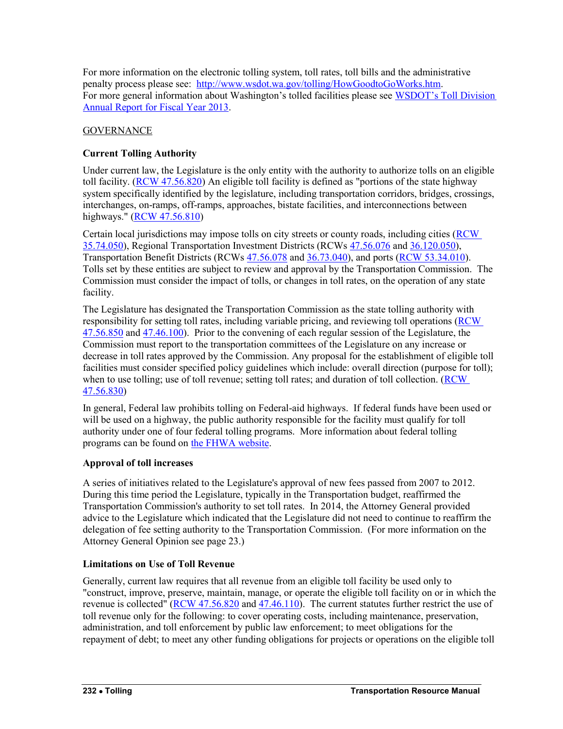For more information on the electronic tolling system, toll rates, toll bills and the administrative penalty process please see: [http://www.wsdot.wa.gov/tolling/HowGoodtoGoWorks.htm.](http://www.wsdot.wa.gov/tolling/HowGoodtoGoWorks.htm) For more general information about Washington's tolled facilities please see [WSDOT's Toll Division](http://www.wsdot.wa.gov/NR/rdonlyres/348E3EED-1D8F-44CC-AC1E-2A9EBD45774F/0/TollDivisionAnnualReport_FINAL_031114_WEB.pdf)  [Annual Report for Fiscal Year 2013.](http://www.wsdot.wa.gov/NR/rdonlyres/348E3EED-1D8F-44CC-AC1E-2A9EBD45774F/0/TollDivisionAnnualReport_FINAL_031114_WEB.pdf)

## **GOVERNANCE**

## **Current Tolling Authority**

Under current law, the Legislature is the only entity with the authority to authorize tolls on an eligible toll facility. [\(RCW 47.56.820\)](http://apps.leg.wa.gov/rcw/default.aspx?cite=47.56.820) An eligible toll facility is defined as "portions of the state highway system specifically identified by the legislature, including transportation corridors, bridges, crossings, interchanges, on-ramps, off-ramps, approaches, bistate facilities, and interconnections between highways." [\(RCW 47.56.810\)](http://apps.leg.wa.gov/rcw/default.aspx?cite=47.56.810)

Certain local jurisdictions may impose tolls on city streets or county roads, including cities [\(RCW](http://apps.leg.wa.gov/rcw/default.aspx?cite=35.74.050)  [35.74.050\)](http://apps.leg.wa.gov/rcw/default.aspx?cite=35.74.050), Regional Transportation Investment Districts (RCWs [47.56.076](http://apps.leg.wa.gov/rcw/default.aspx?cite=47.56.076) and [36.120.050\)](http://apps.leg.wa.gov/rcw/default.aspx?cite=36.120.050), Transportation Benefit Districts (RCWs [47.56.078](http://apps.leg.wa.gov/rcw/default.aspx?cite=47.56.078) and [36.73.040\)](http://apps.leg.wa.gov/rcw/default.aspx?cite=36.73.040), and ports [\(RCW 53.34.010\)](http://apps.leg.wa.gov/rcw/default.aspx?cite=53.34.010). Tolls set by these entities are subject to review and approval by the Transportation Commission. The Commission must consider the impact of tolls, or changes in toll rates, on the operation of any state facility.

The Legislature has designated the Transportation Commission as the state tolling authority with responsibility for setting toll rates, including variable pricing, and reviewing toll operations [\(RCW](http://apps.leg.wa.gov/rcw/default.aspx?cite=47.56.850)  [47.56.850](http://apps.leg.wa.gov/rcw/default.aspx?cite=47.56.850) and [47.46.100\)](http://apps.leg.wa.gov/rcw/default.aspx?cite=47.46.100). Prior to the convening of each regular session of the Legislature, the Commission must report to the transportation committees of the Legislature on any increase or decrease in toll rates approved by the Commission. Any proposal for the establishment of eligible toll facilities must consider specified policy guidelines which include: overall direction (purpose for toll); when to use tolling; use of toll revenue; setting toll rates; and duration of toll collection. (RCW [47.56.830\)](http://apps.leg.wa.gov/rcw/default.aspx?cite=47.56.830)

In general, Federal law prohibits tolling on Federal-aid highways. If federal funds have been used or will be used on a highway, the public authority responsible for the facility must qualify for toll authority under one of four federal tolling programs. More information about federal tolling programs can be found on [the FHWA website.](http://www.fhwa.dot.gov/ipd/revenue/road_pricing/tolling_pricing/)

## **Approval of toll increases**

A series of initiatives related to the Legislature's approval of new fees passed from 2007 to 2012. During this time period the Legislature, typically in the Transportation budget, reaffirmed the Transportation Commission's authority to set toll rates. In 2014, the Attorney General provided advice to the Legislature which indicated that the Legislature did not need to continue to reaffirm the delegation of fee setting authority to the Transportation Commission. (For more information on the Attorney General Opinion see page 23.)

## **Limitations on Use of Toll Revenue**

Generally, current law requires that all revenue from an eligible toll facility be used only to "construct, improve, preserve, maintain, manage, or operate the eligible toll facility on or in which the revenue is collected" [\(RCW 47.56.820](http://apps.leg.wa.gov/rcw/default.aspx?cite=47.56.820) and [47.46.110\)](http://apps.leg.wa.gov/rcw/default.aspx?cite=47.46.110). The current statutes further restrict the use of toll revenue only for the following: to cover operating costs, including maintenance, preservation, administration, and toll enforcement by public law enforcement; to meet obligations for the repayment of debt; to meet any other funding obligations for projects or operations on the eligible toll